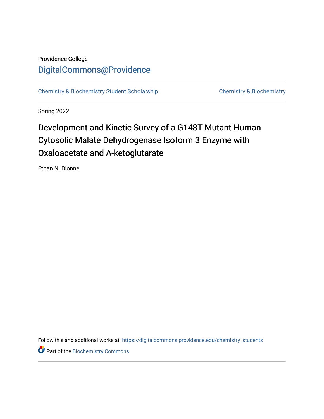# Providence College [DigitalCommons@Providence](https://digitalcommons.providence.edu/)

[Chemistry & Biochemistry Student Scholarship](https://digitalcommons.providence.edu/chemistry_students) [Chemistry & Biochemistry](https://digitalcommons.providence.edu/chemistry) 

Spring 2022

# Development and Kinetic Survey of a G148T Mutant Human Cytosolic Malate Dehydrogenase Isoform 3 Enzyme with Oxaloacetate and A-ketoglutarate

Ethan N. Dionne

Follow this and additional works at: [https://digitalcommons.providence.edu/chemistry\\_students](https://digitalcommons.providence.edu/chemistry_students?utm_source=digitalcommons.providence.edu%2Fchemistry_students%2F14&utm_medium=PDF&utm_campaign=PDFCoverPages)

**Part of the Biochemistry Commons**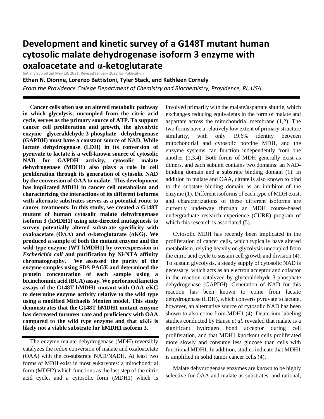# **Development and kinetic survey of a G148T mutant human cytosolic malate dehydrogenase isoform 3 enzyme with oxaloacetate and α-ketoglutarate**

Initially Submitted May 18, 2021; Revised January 2022 for Publication

**Ethan N. Dionne, Lorenzo Battistoni, Tyler Stack, and Kathleen Cornely**

*From the Providence College Department of Chemistry and Biochemistry, Providence, RI, USA*

 C**ancer cells often use an altered metabolic pathway in which glycolysis, uncoupled from the citric acid cycle, serves as the primary source of ATP. To support cancer cell proliferation and growth, the glycolytic enzyme glyceraldehyde-3-phosphate dehydrogenase (GAPDH) must have a constant source of NAD. While lactate dehydrogenase (LDH) in its conversion of pyruvate to lactate is a well-known source of cytosolic NAD for GAPDH activity, cytosolic malate dehydrogenase (MDH1) also plays a role in cell proliferation through its generation of cytosolic NAD by the conversion of OAA to malate. This development has implicated MDH1 in cancer cell metabolism and characterizing the interactions of its different isoforms with alternate substrates serves as a potential route to cancer treatments. In this study, we created a G148T mutant of human cytosolic malate dehydrogenase isoform 3 (hMDH1) using site-directed mutagenesis to survey potentially altered substrate specificity with oxaloacetate (OAA) and α-ketoglutarate (αKG). We produced a sample of both the mutant enzyme and the wild type enzyme (WT hMDH1) by overexpression in**  *Escherichia coli* **and purification by Ni-NTA affinity chromatography. We assessed the purity of the enzyme samples using SDS-PAGE and determined the protein concentration of each sample using a bicinchoninic acid (BCA) assay. We performed kinetics assays of the G148T hMDH1 mutant with OAA αKG to determine enzyme activity relative to the wild type using a modified Michaelis Menten model. This study demonstrates that the G148T hMDH1 mutant enzyme has decreased turnover rate and proficiency with OAA compared to the wild type enzyme and that αKG is likely not a viable substrate for hMDH1 isoform 3.**

 The enzyme malate dehydrogenase (MDH) reversibly catalyzes the redox conversion of malate and oxaloacetate (OAA) with the co-substrate NAD/NADH. At least two forms of MDH exist in most eukaryotes: a mitochondrial form (MDH2) which functions as the last step of the citric acid cycle, and a cytosolic form (MDH1) which is involved primarily with the malate/aspartate shuttle, which exchanges reducing equivalents in the form of malate and aspartate across the mitochondrial membrane (1,2). The two forms have a relatively low extent of primary structure similarity, with only 19.6% identity between mitochondrial and cytosolic porcine MDH, and the enzyme systems can function independently from one another (1,3,4). Both forms of MDH generally exist as dimers, and each subunit contains two domains: an NADbinding domain and a substrate binding domain (1). In addition to malate and OAA, citrate is also known to bind to the substate binding domain as an inhibitor of the enzyme (1). Different isoforms of each type of MDH exist, and characterizations of these different isoforms are currently underway through an MDH course-based undergraduate research experience (CURE) program of which this research is associated  $(5)$ .

 Cytosolic MDH has recently been implicated in the proliferation of cancer cells, which typically have altered metabolism, relying heavily on glycolysis uncoupled from the citric acid cycle to sustain cell growth and division (4). To sustain glycolysis, a steady supply of cytosolic NAD is necessary, which acts as an electron acceptor and cofactor in the reaction catalyzed by glyceraldehyde-3-phosphate dehydrogenase (GAPDH). Generation of NAD for this reaction has been known to come from lactate dehydrogenase (LDH), which converts pyruvate to lactate, however, an alternative source of cytosolic NAD has been shown to also come from MDH1 (4). Deuterium labeling studies conducted by Hanse *et al.* revealed that malate is a significant hydrogen bond acceptor during cell proliferation, and that MDH1 knockout cells proliferated more slowly and consume less glucose than cells with functional MDH1. In addition, studies indicate that MDH1 is amplified in solid tumor cancer cells (4).

 Malate dehydrogenase enzymes are known to be highly selective for OAA and malate as substrates, and rational,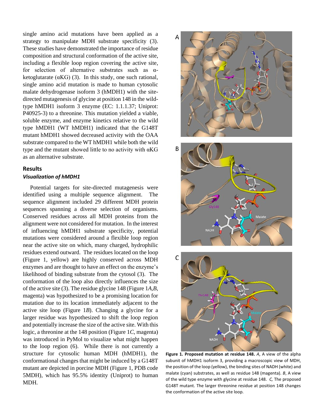single amino acid mutations have been applied as a strategy to manipulate MDH substrate specificity (3). These studies have demonstrated the importance of residue composition and structural conformation of the active site, including a flexible loop region covering the active site, for selection of alternative substrates such as  $\alpha$ ketoglutarate ( $\alpha$ KG) (3). In this study, one such rational, single amino acid mutation is made to human cytosolic malate dehydrogenase isoform 3 (hMDH1) with the sitedirected mutagenesis of glycine at position 148 in the wildtype hMDH1 isoform 3 enzyme (EC: 1.1.1.37; Uniprot: P40925-3) to a threonine. This mutation yielded a viable, soluble enzyme, and enzyme kinetics relative to the wild type hMDH1 (WT hMDH1) indicated that the G148T mutant hMDH1 showed decreased activity with the OAA substrate compared to the WT hMDH1 while both the wild type and the mutant showed little to no activity with αKG as an alternative substrate.

# **Results**

## *Visualization of hMDH1*

 Potential targets for site-directed mutagenesis were identified using a multiple sequence alignment. The sequence alignment included 29 different MDH protein sequences spanning a diverse selection of organisms. Conserved residues across all MDH proteins from the alignment were not considered for mutation. In the interest of influencing hMDH1 substrate specificity, potential mutations were considered around a flexible loop region near the active site on which, many charged, hydrophilic residues extend outward. The residues located on the loop (Figure 1, yellow) are highly conserved across MDH enzymes and are thought to have an effect on the enzyme's likelihood of binding substrate from the cytosol (3). The conformation of the loop also directly influences the size of the active site (3). The residue glycine 148 (Figure 1*A,B*, magenta) was hypothesized to be a promising location for mutation due to its location immediately adjacent to the active site loop (Figure 1*B*). Changing a glycine for a larger residue was hypothesized to shift the loop region and potentially increase the size of the active site. With this logic, a threonine at the 148 position (Figure 1*C*, magenta) was introduced in PyMol to visualize what might happen to the loop region (6). While there is not currently a structure for cytosolic human MDH (hMDH1), the conformational changes that might be induced by a G148T mutant are depicted in porcine MDH (Figure 1, PDB code 5MDH), which has 95.5% identity (Uniprot) to human MDH.



**Figure 1. Proposed mutation at residue 148.** *A*, A view of the alpha subunit of hMDH1 isoform 3, providing a macroscopic view of MDH, the position of the loop (yellow), the binding sites of NADH (white) and malate (cyan) substrates, as well as residue 148 (magenta). *B*, A view of the wild type enzyme with glycine at residue 148. *C,* The proposed G148T mutant. The larger threonine residue at position 148 changes the conformation of the active site loop.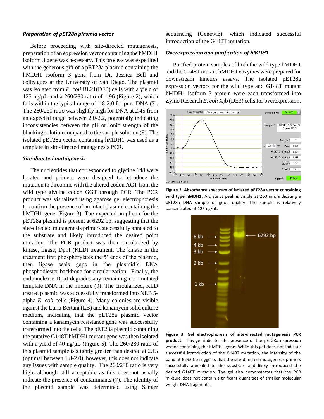# *Preparation of pET28a plasmid vector*

 Before proceeding with site-directed mutagenesis, preparation of an expression vector containing the hMDH1 isoform 3 gene was necessary. This process was expedited with the generous gift of a pET28a plasmid containing the hMDH1 isoform 3 gene from Dr. Jessica Bell and colleagues at the University of San Diego. The plasmid was isolated from *E. coli* BL21(DE3) cells with a yield of 125 ng/ $\mu$ L and a 260/280 ratio of 1.96 (Figure 2), which falls within the typical range of 1.8-2.0 for pure DNA (7). The 260/230 ratio was slightly high for DNA at 2.45 from an expected range between 2.0-2.2, potentially indicating inconsistencies between the pH or ionic strength of the blanking solution compared to the sample solution (8). The isolated pET28a vector containing hMDH1 was used as a template in site-directed mutagenesis PCR.

## *Site-directed mutagenesis*

 The nucleotides that corresponded to glycine 148 were located and primers were designed to introduce the mutation to threonine with the altered codon ACT from the wild type glycine codon GGT through PCR. The PCR product was visualized using agarose gel electrophoresis to confirm the presence of an intact plasmid containing the hMDH1 gene (Figure 3). The expected amplicon for the pET28a plasmid is present at 6292 bp, suggesting that the site-directed mutagenesis primers successfully annealed to the substrate and likely introduced the desired point mutation. The PCR product was then circularized by kinase, ligase, DpnI (KLD) treatment. The kinase in the treatment first phosphorylates the 5' ends of the plasmid, then ligase seals gaps in the plasmid's DNA phosphodiester backbone for circularization. Finally, the endonuclease DpnI degrades any remaining non-mutated template DNA in the mixture (9). The circularized, KLD treated plasmid was successfully transformed into NEB 5 alpha *E. coli* cells (Figure 4). Many colonies are visible against the Luria Bertani (LB) and kanamycin solid culture medium, indicating that the pET28a plasmid vector containing a kanamycin resistance gene was successfully transformed into the cells. The pET28a plasmid containing the putative G148T hMDH1 mutant gene was then isolated with a yield of 40 ng/μL (Figure 5). The 260/280 ratio of this plasmid sample is slightly greater than desired at 2.15 (optimal between 1.8-2.0), however, this does not indicate any issues with sample quality. The 260/230 ratio is very high, although still acceptable as this does not usually indicate the presence of contaminants (7). The identity of the plasmid sample was determined using Sanger sequencing (Genewiz), which indicated successful introduction of the G148T mutation.

## *Overexpression and purification of hMDH1*

 Purified protein samples of both the wild type hMDH1 and the G148T mutant hMDH1 enzymes were prepared for downstream kinetics assays. The isolated pET28a expression vectors for the wild type and G148T mutant hMDH1 isoform 3 protein were each transformed into Zymo Research *E. coli* Xjb (DE3) cells for overexpression.







**Figure 3. Gel electrophoresis of site-directed mutagenesis PCR product.** This gel indicates the presence of the pET28a expression vector containing the hMDH1 gene. While this gel does not indicate successful introduction of the G148T mutation, the intensity of the band at 6292 bp suggests that the site-directed mutagenesis primers successfully annealed to the substrate and likely introduced the desired G148T mutation. The gel also demonstrates that the PCR mixture does not contain significant quantities of smaller molecular weight DNA fragments.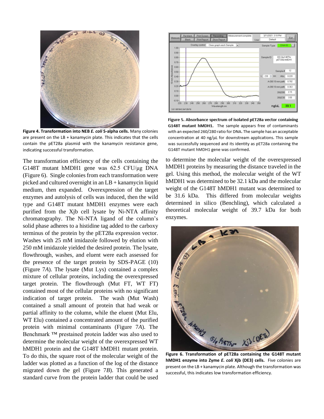

**Figure 4. Transformation into NEB** *E. coli* **5-alpha cells.** Many colonies are present on the LB + kanamycin plate. This indicates that the cells contain the pET28a plasmid with the kanamycin resistance gene, indicating successful transformation.

The transformation efficiency of the cells containing the G148T mutant hMDH1 gene was 62.5 CFU/μg DNA (Figure 6). Single colonies from each transformation were picked and cultured overnight in an LB + kanamycin liquid medium, then expanded. Overexpression of the target enzymes and autolysis of cells was induced, then the wild type and G148T mutant hMDH1 enzymes were each purified from the Xjb cell lysate by Ni-NTA affinity chromatography. The Ni-NTA ligand of the column's solid phase adheres to a histidine tag added to the carboxy terminus of the protein by the pET28a expression vector. Washes with 25 mM imidazole followed by elution with 250 mM imidazole yielded the desired protein. The lysate, flowthrough, washes, and eluent were each assessed for the presence of the target protein by SDS-PAGE (10) (Figure 7*A*). The lysate (Mut Lys) contained a complex mixture of cellular proteins, including the overexpressed target protein. The flowthrough (Mut FT, WT FT) contained most of the cellular proteins with no significant indication of target protein. The wash (Mut Wash) contained a small amount of protein that had weak or partial affinity to the column, while the eluent (Mut Elu, WT Elu) contained a concentrated amount of the purified protein with minimal contaminants (Figure 7*A*). The Benchmark ™ prestained protein ladder was also used to determine the molecular weight of the overexpressed WT hMDH1 protein and the G148T hMDH1 mutant protein. To do this, the square root of the molecular weight of the ladder was plotted as a function of the log of the distance migrated down the gel (Figure 7*B*). This generated a standard curve from the protein ladder that could be used



Figure 5. Absorbance spectrum of isolated pET28a vector containing G148T mutant hMDH1. The sample appears free of contaminants with an expected 260/280 ratio for DNA. The sample has an acceptable concentration at 40 ng/µL for downstream applications. This sample was successfully sequenced and its identity as pET28a containing the G148T mutant hMDH1 gene was confirmed.

to determine the molecular weight of the overexpressed hMDH1 proteins by measuring the distance traveled in the gel. Using this method, the molecular weight of the WT hMDH1 was determined to be 32.1 kDa and the molecular weight of the G148T hMDH1 mutant was determined to be 31.6 kDa. This differed from molecular weights determined in silico (Benchling), which calculated a theoretical molecular weight of 39.7 kDa for both enzymes.



**Figure 6. Transformation of pET28a containing the G148T mutant hMDH1 enzyme into Zyme** *E. coli* **Xjb (DE3) cells.** Five colonies are present on the LB + kanamycin plate. Although the transformation was successful, this indicates low transformation efficiency.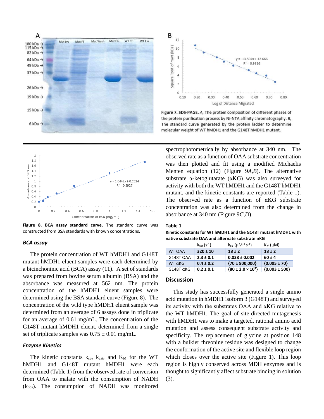



Figure 7. SDS-PAGE. A, The protein composition of different phases of the protein purification process by Ni-NTA affinity chromatography. B, The standard curve generated by the protein ladder to determine molecular weight of WT hMDH1 and the G148T hMDH1 mutant.



**Figure 8. BCA assay standard curve.** The standard curve was constructed from BSA standards with known concentrations.

### *BCA assay*

 The protein concentration of WT hMDH1 and G148T mutant hMDH1 eluent samples were each determined by a bicinchoninic acid (BCA) assay (11). A set of standards was prepared from bovine serum albumin (BSA) and the absorbance was measured at 562 nm. The protein concentration of the hMDH1 eluent samples were determined using the BSA standard curve (Figure 8). The concentration of the wild type hMDH1 eluent sample was determined from an average of 6 assays done in triplicate for an average of 0.61 mg/mL. The concentration of the G148T mutant hMDH1 eluent, determined from a single set of triplicate samples was  $0.75 \pm 0.01$  mg/mL.

### *Enzyme Kinetics*

The kinetic constants  $k_{sp}$ ,  $k_{cat}$ , and  $K_M$  for the WT hMDH1 and G148T mutant hMDH1 were each determined (Table 1) from the observed rate of conversion from OAA to malate with the consumption of NADH (kobs). The consumption of NADH was monitored spectrophotometrically by absorbance at 340 nm. The observed rate as a function of OAA substrate concentration was then plotted and fit using a modified Michaelis Menten equation (12) (Figure 9*A,B*). The alternative substrate  $\alpha$ -ketoglutarate ( $\alpha$ KG) was also surveyed for activity with both the WT hMDH1 and the G148T hMDH1 mutant, and the kinetic constants are reported (Table 1). The observed rate as a function of  $\alpha$ KG substrate concentration was also determined from the change in absorbance at 340 nm (Figure 9*C,D*).

### **Table 1**

**Kinetic constants for WT hMDH1 and the G148T mutant hMDH1 with native substrate OAA and alternate substrate αKG**

|                   | $k_{cat}$ (s <sup>-1</sup> ) | $k_{\text{SD}}$ ( $\mu$ M <sup>-1</sup> s <sup>-1</sup> ) | $K_{M}(\mu M)$    |
|-------------------|------------------------------|-----------------------------------------------------------|-------------------|
| WT OAA            | $320 \pm 10$                 | $18 \pm 2$                                                | $18 \pm 2$        |
| G148T OAA         | $2.3 \pm 0.1$                | $0.038 \pm 0.002$                                         | $60 \pm 4$        |
| $WT \alpha KG$    | $0.4 \pm 0.2$                | $\{70 \pm 900,000\}$                                      | ${0.005 \pm 70}$  |
| $G148T \alpha KG$ | $0.2 \pm 0.1$                | $\{80 \pm 2.0 \times 10^{7}\}$                            | ${0.003 \pm 500}$ |

# **Discussion**

 This study has successfully generated a single amino acid mutation in hMDH1 isoform 3 (G148T) and surveyed its activity with the substrates OAA and αKG relative to the WT hMDH1. The goal of site-directed mutagenesis with hMDH1 was to make a targeted, rational amino acid mutation and assess consequent substrate activity and specificity. The replacement of glycine at position 148 with a bulkier threonine residue was designed to change the conformation of the active site and flexible loop region which closes over the active site (Figure 1). This loop region is highly conserved across MDH enzymes and is thought to significantly affect substrate binding in solution (3).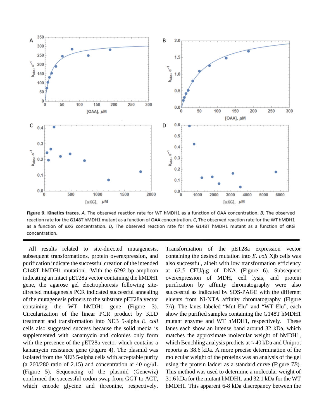

Figure 9. Kinetics traces. A, The observed reaction rate for WT hMDH1 as a function of OAA concentration. B, The observed reaction rate for the G148T hMDH1 mutant as a function of OAA concentration. C, The observed reaction rate for the WT hMDH1 as a function of aKG concentration. D, The observed reaction rate for the G148T hMDH1 mutant as a function of aKG concentration.

 All results related to site-directed mutagenesis, subsequent transformations, protein overexpression, and purification indicate the successful creation of the intended G148T hMDH1 mutation. With the 6292 bp amplicon indicating an intact pET28a vector containing the hMDH1 gene, the agarose gel electrophoresis following sitedirected mutagenesis PCR indicated successful annealing of the mutagenesis primers to the substrate pET28a vector containing the WT hMDH1 gene (Figure 3). Circularization of the linear PCR product by KLD treatment and transformation into NEB 5-alpha *E. coli* cells also suggested success because the solid media is supplemented with kanamycin and colonies only form with the presence of the pET28a vector which contains a kanamycin resistance gene (Figure 4). The plasmid was isolated from the NEB 5-alpha cells with acceptable purity (a  $260/280$  ratio of 2.15) and concentration at 40 ng/ $\mu$ L (Figure 5). Sequencing of the plasmid (Genewiz) confirmed the successful codon swap from GGT to ACT, which encode glycine and threonine, respectively.

Transformation of the pET28a expression vector containing the desired mutation into *E. coli* Xjb cells was also successful, albeit with low transformation efficiency at 62.5 CFU/μg of DNA (Figure 6). Subsequent overexpression of MDH, cell lysis, and protein purification by affinity chromatography were also successful as indicated by SDS-PAGE with the different eluents from Ni-NTA affinity chromatography (Figure 7*A*). The lanes labeled "Mut Elu" and "WT Elu", each show the purified samples containing the G148T hMDH1 mutant enzyme and WT hMDH1, respectively. These lanes each show an intense band around 32 kDa, which matches the approximate molecular weight of hMDH1, which Benchling analysis predicts at  $\approx$  40 kDa and Uniprot reports as 38.6 kDa. A more precise determination of the molecular weight of the proteins was an analysis of the gel using the protein ladder as a standard curve (Figure 7*B*). This method was used to determine a molecular weight of 31.6 kDa for the mutant hMDH1, and 32.1 kDa for the WT hMDH1. This apparent 6-8 kDa discrepancy between the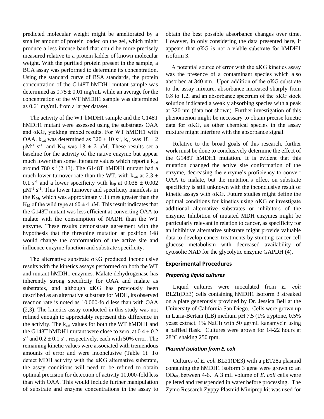predicted molecular weight might be ameliorated by a smaller amount of protein loaded on the gel, which might produce a less intense band that could be more precisely measured relative to a protein ladder of known molecular weight. With the purified protein present in the sample, a BCA assay was performed to determine its concentration. Using the standard curve of BSA standards, the protein concentration of the G148T hMDH1 mutant sample was determined as  $0.75 \pm 0.01$  mg/mL while an average for the concentration of the WT hMDH1 sample was determined as 0.61 mg/mL from a larger dataset.

 The activity of the WT hMDH1 sample and the G148T hMDH1 mutant were assessed using the substrates OAA and αKG, yielding mixed results. For WT hMDH1 with OAA,  $k_{cat}$  was determined as  $320 \pm 10$  s<sup>-1</sup>,  $k_{sp}$  was  $18 \pm 2$  $\mu$ M<sup>-1</sup> s<sup>-1</sup>, and K<sub>M</sub> was 18  $\pm$  2  $\mu$ M. These results set a baseline for the activity of the native enzyme but appear much lower than some literature values which report a  $k_{cat}$ around 780  $s^{-1}$  (2,13). The G148T hMDH1 mutant had a much lower turnover rate than the WT, with k<sub>cat</sub> at 2.3  $\pm$ 0.1 s<sup>-1</sup> and a lower specificity with  $k_{sp}$  at 0.038  $\pm$  0.002  $\mu$ M<sup>-1</sup> s<sup>-1</sup>. This lower turnover and specificity manifests in the  $K_M$ , which was approximately 3 times greater than the K<sub>M</sub> of the wild type at  $60 \pm 4$  µM. This result indicates that the G148T mutant was less efficient at converting OAA to malate with the consumption of NADH than the WT enzyme. These results demonstrate agreement with the hypothesis that the threonine mutation at position 148 would change the conformation of the active site and influence enzyme function and substrate specificity.

 The alternative substrate αKG produced inconclusive results with the kinetics assays performed on both the WT and mutant hMDH1 enzymes. Malate dehydrogenase has inherently strong specificity for OAA and malate as substrates, and although αKG has previously been described as an alternative substrate for MDH, its observed reaction rate is noted as 10,000-fold less than with OAA (2,3). The kinetics assay conducted in this study was not refined enough to appreciably represent this difference in the activity. The  $k_{cat}$  values for both the WT hMDH1 and the G148T hMDH1 mutant were close to zero, at  $0.4 \pm 0.2$  $s^{-1}$  and  $0.2 \pm 0.1$   $s^{-1}$ , respectively, each with 50% error. The remaining kinetic values were associated with tremendous amounts of error and were inconclusive (Table 1). To detect MDH activity with the αKG alternative substrate, the assay conditions will need to be refined to obtain optimal precision for detection of activity 10,000-fold less than with OAA. This would include further manipulation of substrate and enzyme concentrations in the assay to

obtain the best possible absorbance changes over time. However, in only considering the data presented here, it appears that αKG is not a viable substrate for hMDH1 isoform 3.

 A potential source of error with the αKG kinetics assay was the presence of a contaminant species which also absorbed at 340 nm. Upon addition of the αKG substrate to the assay mixture, absorbance increased sharply from 0.8 to 1.2, and an absorbance spectrum of the αKG stock solution indicated a weakly absorbing species with a peak at 320 nm (data not shown). Further investigation of this phenomenon might be necessary to obtain precise kinetic data for αKG, as other chemical species in the assay mixture might interfere with the absorbance signal.

 Relative to the broad goals of this research, further work must be done to conclusively determine the effect of the G148T hMDH1 mutation. It is evident that this mutation changed the active site conformation of the enzyme, decreasing the enzyme's proficiency to convert OAA to malate, but the mutation's effect on substrate specificity is still unknown with the inconclusive result of kinetic assays with αKG. Future studies might define the optimal conditions for kinetics using αKG or investigate additional alternative substrates or inhibitors of the enzyme. Inhibition of mutated MDH enzymes might be particularly relevant in relation to cancer, as specificity for an inhibitive alternative substrate might provide valuable data to develop cancer treatments by stunting cancer cell glucose metabolism with decreased availability of cytosolic NAD for the glycolytic enzyme GAPDH (4).

# **Experimental Procedures**

## *Preparing liquid cultures*

 Liquid cultures were inoculated from *E. coli*  BL21(DE3) cells containing hMDH1 isoform 3 streaked on a plate generously provided by Dr. Jessica Bell at the University of California San Diego. Cells were grown up in Luria-Bertani (LB) medium pH 7.5 (1% tryptone, 0.5% yeast extract, 1% NaCl) with 50 μg/mL kanamycin using a baffled flask. Cultures were grown for 14-22 hours at 28°C shaking 250 rpm.

## *Plasmid isolation from E. coli*

 Cultures of *E. coli* BL21(DE3) with a pET28a plasmid containing the hMDH1 isoform 3 gene were grown to an OD600 between 4-6. A 3 mL volume of *E. coli* cells were pelleted and resuspended in water before processing. The Zymo Research Zyppy Plasmid Miniprep kit was used for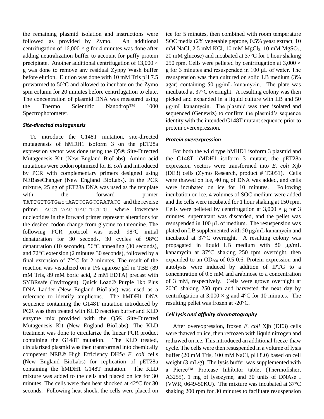the remaining plasmid isolation and instructions were followed as provided by Zymo. An additional centrifugation of  $16,000 \times g$  for 4 minutes was done after adding neutralization buffer to account for puffy protein precipitate. Another additional centrifugation of  $13,000 \times$ g was done to remove any residual Zyppy Wash buffer before elution. Elution was done with 10 mM Tris pH 7.5 prewarmed to 50°C and allowed to incubate on the Zymo spin column for 20 minutes before centrifugation to elute. The concentration of plasmid DNA was measured using the Thermo Scientific Nanodrop™ 1000 Spectrophotometer.

# *Site-directed mutagenesis*

 To introduce the G148T mutation, site-directed mutagenesis of hMDH1 isoform 3 on the pET28a expression vector was done using the Q5® Site-Directed Mutagenesis Kit (New England BioLabs). Amino acid mutations were codon optimized for *E. coli* and introduced by PCR with complementary primers designed using NEBaseChanger (New England BioLabs). In the PCR mixture, 25 ng of pET28a DNA was used as the template with the forward primer TATTGTTGTGactAATCCAGCCAATACC and the reverse primer ACCTTAACTGACTTCTTG, where lowercase nucleotides in the forward primer represent alterations for the desired codon change from glycine to threonine. The following PCR protocol was used: 98°C initial denaturation for 30 seconds, 30 cycles of 98°C denaturation (10 seconds), 56°C annealing (30 seconds), and 72°C extension (2 minutes 30 seconds), followed by a final extension of 72°C for 2 minutes. The result of the reaction was visualized on a 1% agarose gel in TBE (89 mM Tris, 89 mM boric acid, 2 mM EDTA) precast with SYBRsafe (Invitrogen). Quick Load® Purple 1kb Plus DNA Ladder (New England BioLabs) was used as a reference to identify amplicons. The hMDH1 DNA sequence containing the G148T mutation introduced by PCR was then treated with KLD reaction buffer and KLD enzyme mix provided with the Q5® Site-Directed Mutagenesis Kit (New England BioLabs). The KLD treatment was done to circularize the linear PCR product containing the G148T mutation. The KLD treated, circularized plasmid was then transformed into chemically competent NEB® High Efficiency DH5α *E. coli* cells (New England BioLabs) for replication of pET28a containing the hMDH1 G148T mutation. The KLD mixture was added to the cells and placed on ice for 30 minutes. The cells were then heat shocked at 42°C for 30 seconds. Following heat shock, the cells were placed on ice for 5 minutes, then combined with room temperature SOC media (2% vegetable peptone, 0.5% yeast extract, 10 mM NaCl, 2.5 mM KCl, 10 mM MgCl<sub>2</sub>, 10 mM MgSO<sub>4</sub>, 20 mM glucose) and incubated at 37°C for 1 hour shaking 250 rpm. Cells were pelleted by centrifugation at  $3,000 \times$ g for 3 minutes and resuspended in 100 μL of water. The resuspension was then cultured on solid LB medium (3% agar) containing 50 μg/mL kanamycin. The plate was incubated at 37°C overnight. A resulting colony was then picked and expanded in a liquid culture with LB and 50 μg/mL kanamycin. The plasmid was then isolated and sequenced (Genewiz) to confirm the plasmid's sequence identity with the intended G148T mutant sequence prior to protein overexpression.

# *Protein overexpression*

 For both the wild type hMHD1 isoform 3 plasmid and the G148T hMDH1 isoform 3 mutant, the pET28a expression vectors were transformed into *E. coli* Xjb (DE3) cells (Zymo Research, product # T3051). Cells were thawed on ice, 40 ng of DNA was added, and cells were incubated on ice for 10 minutes. Following incubation on ice, 4 volumes of SOC medium were added and the cells were incubated for 1 hour shaking at 150 rpm. Cells were pelleted by centrifugation at  $3,000 \times g$  for 3 minutes, supernatant was discarded, and the pellet was resuspended in 100 μL of medium. The resuspension was plated on LB supplemented with 50 μg/mL kanamycin and incubated at 37°C overnight. A resulting colony was propagated in liquid LB medium with 50 μg/mL kanamycin at 37°C shaking 250 rpm overnight, then expanded to an  $OD_{600}$  of 0.5-0.6. Protein expression and autolysis were induced by addition of IPTG to a concentration of 0.5 mM and arabinose to a concentration of 3 mM, respectively. Cells were grown overnight at 20°C shaking 250 rpm and harvested the next day by centrifugation at  $3,000 \times g$  and  $4^{\circ}$ C for 10 minutes. The resulting pellet was frozen at -20°C.

# *Cell lysis and affinity chromatography*

 After overexpression, frozen *E. coli* Xjb (DE3) cells were thawed on ice, then refrozen with liquid nitrogen and rethawed on ice. This introduced an additional freeze-thaw cycle. The cells were then resuspended in a volume of lysis buffer (20 mM Tris, 100 mM NaCl, pH 8.0) based on cell weight (3 mL/g). The lysis buffer was supplemented with a Pierce™ Protease Inhibitor tablet (Thermofisher, A3255), 1 mg of lysozyme, and 30 units of DNAse I (VWR, 0649-50KU). The mixture was incubated at 37°C shaking 200 rpm for 30 minutes to facilitate resuspension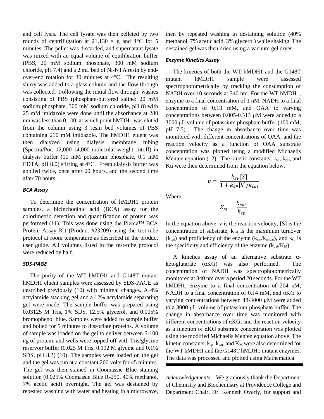and cell lysis. The cell lysate was then pelleted by two rounds of centrifugation at 21,130  $\times$  g and 4°C for 5 minutes. The pellet was discarded, and supernatant lysate was mixed with an equal volume of equilibration buffer (PBS, 20 mM sodium phosphate, 300 mM sodium chloride, pH 7.4) and a 2 mL bed of Ni-NTA resin by endover-end rotation for 30 minutes at 4°C. The resulting slurry was added to a glass column and the flow through was collected. Following the initial flow through, washes consisting of PBS (phosphate-buffered saline: 20 mM sodium phosphate, 300 mM sodium chloride, pH 8) with 25 mM imidazole were done until the absorbance at 280 nm was less than 0.100, at which point hMDH1 was eluted from the column using 3 resin bed volumes of PBS containing 250 mM imidazole. The hMDH1 eluent was then dialyzed using dialysis membrane tubing (Spectra/Por, 12,000-14,000 molecular weight cutoff) in dialysis buffer (10 mM potassium phosphate, 0.1 mM EDTA, pH 8.0) stirring at 4°C. Fresh dialysis buffer was applied twice, once after 20 hours, and the second time after 70 hours.

## *BCA Assay*

 To determine the concentration of hMDH1 protein samples, a bicinchoninic acid (BCA) assay for the colorimetric detection and quantification of protein was performed (11). This was done using the Pierce™ BCA Protein Assay Kit (Product #23209) using the test-tube protocol at room temperature as described in the product user guide. All volumes listed in the test-tube protocol were reduced by half.

### *SDS-PAGE*

 The purity of the WT hMDH1 and G148T mutant hMDH1 eluent samples were assessed by SDS-PAGE as described previously (10) with minimal changes. A 4% acrylamide stacking gel and a 12% acrylamide separating gel were made. The sample buffer was prepared using 0.03125 M Tris, 1% SDS, 12.5% glycerol, and 0.005% bromophenol blue. Samples were added to sample buffer and boiled for 5 minutes to dissociate proteins. A volume of sample was loaded on the gel to deliver between 5-100 ng of protein, and wells were topped off with Tris/glycine reservoir buffer (0.025 M Tris, 0.192 M glycine and 0.1% SDS, pH 8.3) (10). The samples were loaded on the gel and the gel was run at a constant 200 volts for 45 minutes. The gel was then stained in Coomassie Blue staining solution (0.025% Coomassie Blue R-250, 40% methanol, 7% acetic acid) overnight. The gel was destained by repeated washing with water and heating in a microwave, then by repeated washing in destaining solution (40% methanol, 7% acetic acid, 3% glycerol) while shaking. The destained gel was then dried using a vacuum gel dryer.

## *Enzyme Kinetics Assay*

 The kinetics of both the WT hMDH1 and the G148T mutant hMDH1 sample were assessed spectrophotometrically by tracking the consumption of NADH over 10 seconds at 340 nm. For the WT hMDH1, enzyme to a final concentration of 1 nM, NADH to a final concentration of 0.13 mM, and OAA to varying concentrations between 0.005-0.313 μM were added to a 3000 μL volume of potassium phosphate buffer (100 mM, pH 7.5). The change in absorbance over time was monitored with different concentrations of OAA, and the reaction velocity as a function of OAA substrate concentration was plotted using a modified Michaelis Menten equation (12). The kinetic constants,  $k_{sp}$ ,  $k_{cat}$ , and K<sub>M</sub> were then determined from the equation below.

$$
v = \frac{k_{SP}[S]}{1 + k_{SP}[S]/k_{cat}}
$$

Where

$$
K_M = \frac{k_{cat}}{k_{sp}}
$$

In the equation above,  $v$  is the reaction velocity,  $[S]$  is the concentration of substrate,  $k_{cat}$  is the maximum turnover  $(k_{cat})$  and proficiency of the enzyme  $(k_{cat}/k_{uncat})$ , and  $k_{sp}$  is the specificity and efficiency of the enzyme  $(k_{cat}/K_M)$ .

 A kinetics assay of an alternative substrate αketoglutarate (αKG) was also performed. The concentration of NADH was spectrophotometrically monitored at 340 nm over a period 20 seconds. For the WT hMDH1, enzyme to a final concentration of 204 nM, NADH to a final concentration of 0.14 mM, and αKG to varying concentrations between 48-3000 μM were added to a 3000 μL volume of potassium phosphate buffer. The change in absorbance over time was monitored with different concentrations of αKG, and the reaction velocity as a function of αKG substrate concentration was plotted using the modified Michaelis Menten equation above. The kinetic constants,  $k_{sp}$ ,  $k_{cat}$ , and  $K_M$  were also determined for the WT hMDH1 and the G148T hMDH1 mutant enzymes. The data was processed and plotted using Mathematica.

*Acknowledgements* **–** We graciously thank the Department of Chemistry and Biochemistry at Providence College and Department Chair, Dr. Kenneth Overly, for support and